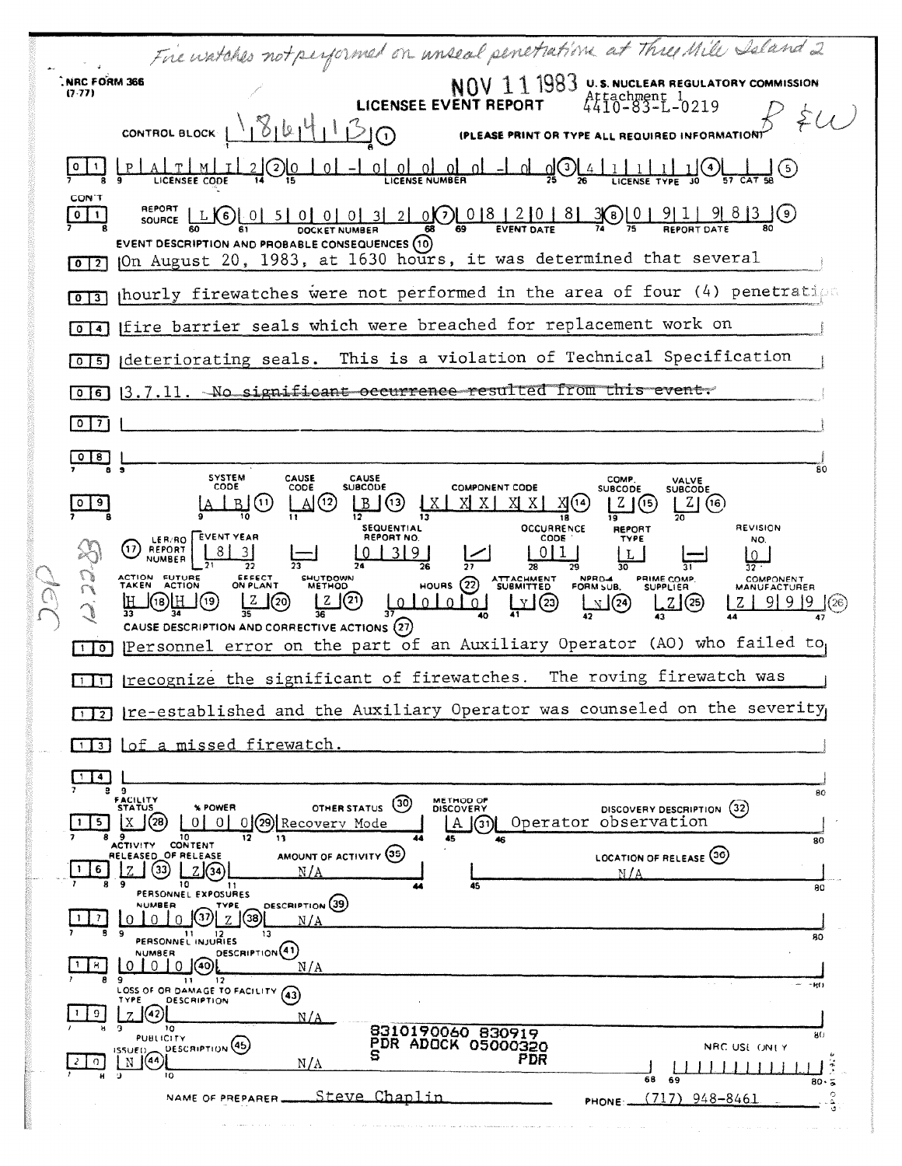|  |                         | Fire watches not performed on unseal penetration at Three Mile Saland 2                                                                                                                                    |
|--|-------------------------|------------------------------------------------------------------------------------------------------------------------------------------------------------------------------------------------------------|
|  | NRC FORM 366<br>(7.77)  | $NOV$ $11$ $1983$ U.S. NUCLEAR REGULATORY COMMISSION                                                                                                                                                       |
|  |                         | <b>LICENSEE EVENT REPORT</b><br>16161<br>CONTROL BLOCK                                                                                                                                                     |
|  |                         | 1()<br><b>IPLEASE PRINT OR TYPE</b><br><b>REQUIRED INFORMATION</b>                                                                                                                                         |
|  |                         | <u>OL OL OL OL OL -1</u><br>$q$ $Q$<br><u>. പ</u><br>$\left\lfloor 2 \right\rfloor$                                                                                                                        |
|  | <b>CON'T</b><br>$0$   1 | REPORT                                                                                                                                                                                                     |
|  |                         | EVENT DESCRIPTION AND PROBABLE CONSEQUENCES (10)<br>JOn August 20, 1983, at 1630 hours, it was determined that several                                                                                     |
|  | $0$   2                 | phourly firewatches were not performed in the area of four (4) penetration                                                                                                                                 |
|  | $0$ $\overline{3}$      | Ifire barrier seals which were breached for replacement work on                                                                                                                                            |
|  | $\mathbf{o}$            | deteriorating seals. This is a violation of Technical Specification                                                                                                                                        |
|  | 5.<br>$\mathbf{o}$      |                                                                                                                                                                                                            |
|  | 6 <sup>1</sup>          | 13.7.11. No significant occurrence resulted from this event.                                                                                                                                               |
|  | $\vert$ 7 $\vert$<br>٥  |                                                                                                                                                                                                            |
|  | 8                       | 80<br><b>SYSTEM</b><br>CAUSE<br>CAUSE<br>COMP.<br>VALVE<br>CODE<br><b>COMPONENT CODE</b><br>CODE<br><b>SUBCODF</b>                                                                                         |
|  | $\vert$ 9               | <b>SUBCODE</b><br><b>SUBCODE</b><br>(12)<br>$(\mathbf{u})$<br>(13)<br>$Z$ $(16)$                                                                                                                           |
|  |                         | OCCURRENCE<br><b>REVISION</b><br><b>SEQUENTIAL</b><br><b>REPORT</b><br>LER/RO EVENT YEAR<br>REPORT NO<br>CODE<br>TYPE<br>NO.<br>17<br>REPORT<br>9.                                                         |
|  |                         | <b>NUMBER</b><br>ACTION FUTURE<br>EFFECT<br>SHUTDOWN<br>ATTACHMENT<br>SUBMITTED<br><b>NPRD-4</b><br>PRIME COMP.<br>COMPONENT<br>HOURS $(22)$<br><b>ACTION</b><br>ON PLANT<br><b>TAKEN</b><br><b>METHOD</b> |
|  | (2.72)                  | FORM SUB.<br><b>SUPPLIER</b><br>MANUFACTURER<br>(20)<br>Y (23)<br>$\cup$ $\cup$ $\cup$<br>0101<br>$\mathbb{Z}^{(24)}$<br>Z(25)                                                                             |
|  | 110                     | CAUSE DESCRIPTION AND CORRECTIVE ACTIONS (27)<br>Personnel error on the part of an Auxiliary Operator (AO) who failed to                                                                                   |
|  |                         | TIT recognize the significant of firewatches. The roving firewatch was                                                                                                                                     |
|  |                         | Ire-established and the Auxiliary Operator was counseled on the severity,                                                                                                                                  |
|  | $1 \mid 3 \mid$         | Lof a missed firewatch.                                                                                                                                                                                    |
|  | 4                       |                                                                                                                                                                                                            |
|  |                         | 99<br>80<br>FACILITY<br>STATUS<br><b>METHOD OF</b><br>(30)<br>% POWER<br><b>OTHER STATUS</b><br>(32)<br><b>DISCOVERY</b><br>DISCOVERY DESCRIPTION                                                          |
|  | 5.                      | Operator observation<br>28<br>0 I<br>(29)<br>Recovery Mode<br>Α<br>ΟI<br>(31)I<br>9<br>10<br>44<br>12<br>13<br>45<br>46<br>80<br>CONTENT                                                                   |
|  | 6                       | <b>ACTIVITY</b><br>AMOUNT OF ACTIVITY (35)<br>LOCATION OF RELEASE (36)<br>RELEASED OF RELEASE<br>(33)<br>N/A<br>N/A                                                                                        |
|  |                         | 9<br>10<br>45<br>44<br>80<br>PERSONNEL EXPOSURES<br><b>DESCRIPTION</b> (39)<br>NUMBER<br>TYPE                                                                                                              |
|  | 7.<br>в                 | (37)<br>(38)<br>$\Omega$<br>N/A<br>-9<br>13<br>80<br>PERSONNEL INJURIES                                                                                                                                    |
|  | 8.<br>-1                | DESCRIPTION <sup>(41)</sup><br>NUMBER<br>N/A<br>-0<br>010<br>(40)                                                                                                                                          |
|  | я.                      | -9<br>12<br>$\mathbf{11}$<br>$- -101$<br>LOSS OF OR DAMAGE TO FACILITY<br>(43)<br><b>TYPE</b><br><b>DESCRIPTION</b>                                                                                        |
|  | 9                       | N/A<br>10<br>a<br>8310190060 830919<br>80<br><b>PUBLICITY</b>                                                                                                                                              |
|  | O.                      | PDR ADOCK 05000320<br>DESCRIPTION (45)<br>NRC USE ONLY<br>ISSUED<br>s<br>PDR<br>1644<br>Ν<br>$N/\Lambda$                                                                                                   |
|  | н                       | $\cdot$<br>10<br>68<br>69<br>80.5<br>c<br>Steve Chaplin<br>$(717)$ 948-8461<br>NAME OF PREPARER<br>PHONE:                                                                                                  |
|  |                         |                                                                                                                                                                                                            |

 $\sim 10$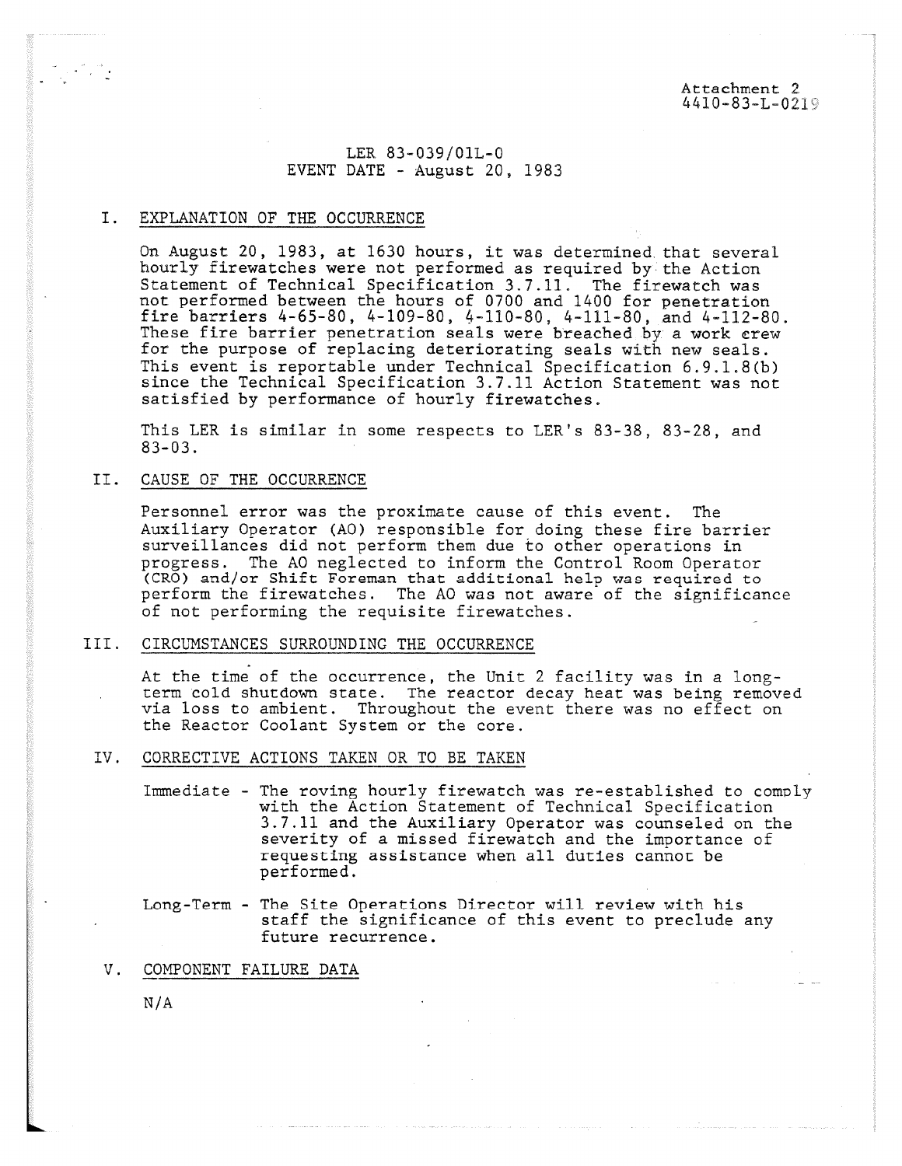LER 83-039/01L-0 EVENT DATE - August 20, 1983

# I. EXPLANATION OF THE OCCURRENCE

On August 20, 1983, at 1630 hours, it was determined, that several hourly firewatches were not performed as required by the Action Statement of Technical Specification 3.7.11. The firewatch was not performed between the hours of 0700 and 1400 for penetration fire barriers 4-65-80, 4-109-80, 4-110-80, 4-111-80, and 4-112-80. These fire barrier penetration seals were breached by a work crew for the purpose of replacing deteriorating seals with new seals. This event is reportable under Technical Specification 6.9.1.8(b) since the Technical Specification 3.7.11 Action Statement was not satisfied by performance of hourly firewatches.

This LER is similar in some respects to LER's 83-38, 83-28, and 83-03.

## II. CAUSE OF THE OCCURRENCE

Personnel error was the proximate cause of this event. The Auxiliary Operator (AO) responsible for doing these fire barrier surveillances did not perform them due to other operations in progress. The AO neglected to inform the Control Room Operator (CRO) and/or Shift Foreman that additional help was required to perform the firewatches. The AO was not aware of the significance of not performing the requisite firewatches.

### III. CIRCUMSTANCES SURROUNDING THE OCCURRENCE

At the time of the occurrence, the Unit 2 facility was in a longterm cold shutdown state. The reactor decay heat was being removed via loss to ambient. Throughout the event there was no effect on the Reactor Coolant System or the core.

#### IV. CORRECTIVE ACTIONS TAKEN OR TO BE TAKEN

Immediate - The roving hourly firewatch was re-established to comply with the Action Statement of Technical Specification 3.7.11 and the Auxiliary Operator was counseled on the severity of a missed firewatch and the importance of requesting assistance when all duties cannot be performed.

## Long-Term - The Site Operations Director will review with his staff the significance of this event to preclude any future recurrence.

### V. COMPONENT FAILURE DATA

N/A